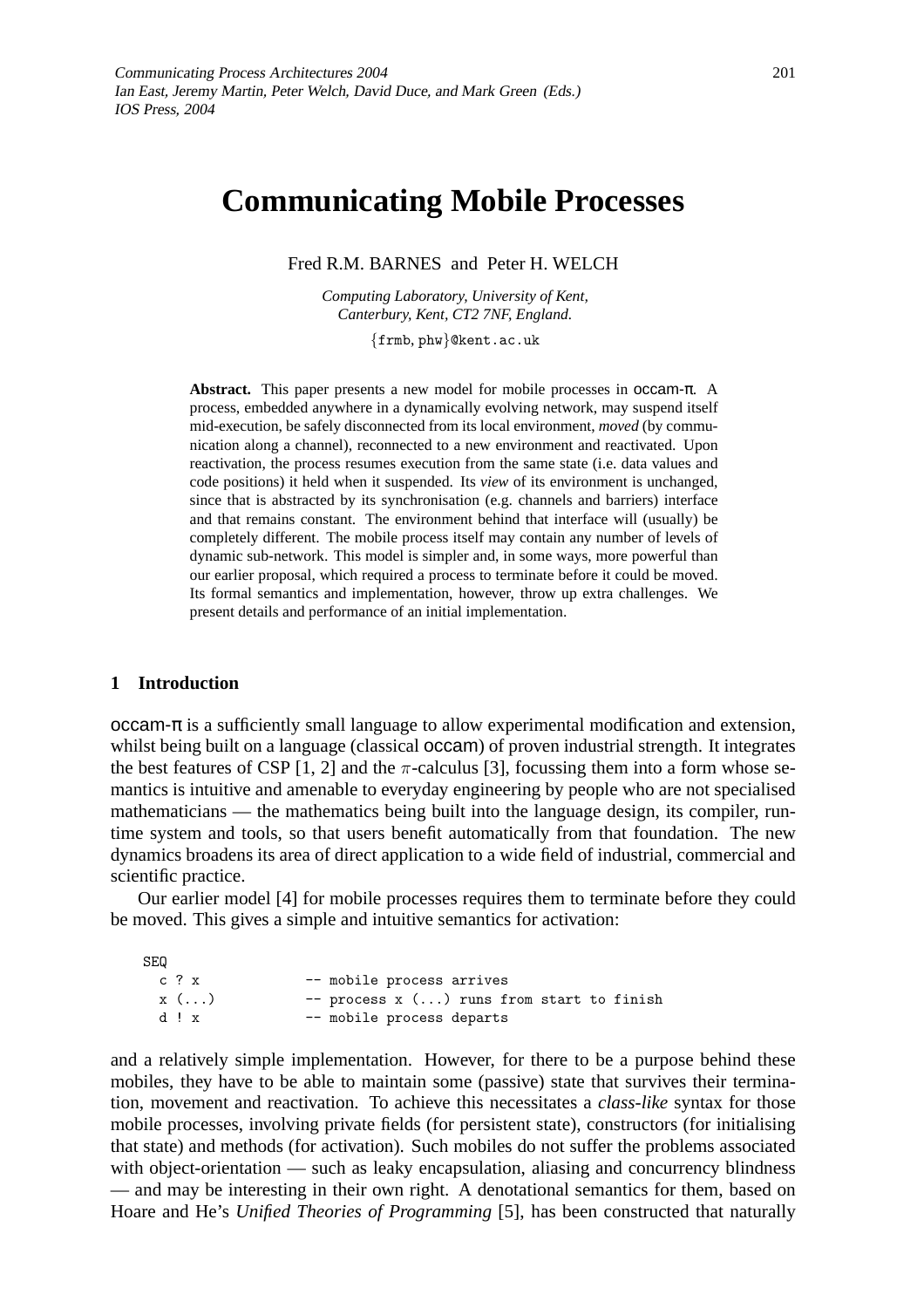# **Communicating Mobile Processes**

Fred R.M. BARNES and Peter H. WELCH

*Computing Laboratory, University of Kent, Canterbury, Kent, CT2 7NF, England.*

{frmb, phw}@kent.ac.uk

**Abstract.** This paper presents a new model for mobile processes in occam-π. A process, embedded anywhere in a dynamically evolving network, may suspend itself mid-execution, be safely disconnected from its local environment, *moved* (by communication along a channel), reconnected to a new environment and reactivated. Upon reactivation, the process resumes execution from the same state (i.e. data values and code positions) it held when it suspended. Its *view* of its environment is unchanged, since that is abstracted by its synchronisation (e.g. channels and barriers) interface and that remains constant. The environment behind that interface will (usually) be completely different. The mobile process itself may contain any number of levels of dynamic sub-network. This model is simpler and, in some ways, more powerful than our earlier proposal, which required a process to terminate before it could be moved. Its formal semantics and implementation, however, throw up extra challenges. We present details and performance of an initial implementation.

## **1 Introduction**

occam-π is a sufficiently small language to allow experimental modification and extension, whilst being built on a language (classical **occam**) of proven industrial strength. It integrates the best features of CSP [1, 2] and the  $\pi$ -calculus [3], focussing them into a form whose semantics is intuitive and amenable to everyday engineering by people who are not specialised mathematicians — the mathematics being built into the language design, its compiler, runtime system and tools, so that users benefit automatically from that foundation. The new dynamics broadens its area of direct application to a wide field of industrial, commercial and scientific practice.

Our earlier model [4] for mobile processes requires them to terminate before they could be moved. This gives a simple and intuitive semantics for activation:

| <b>SEQ</b> |             |                                           |
|------------|-------------|-------------------------------------------|
|            | c?x         | -- mobile process arrives                 |
|            | $x(\ldots)$ | -- process x () runs from start to finish |
|            | d!x         | -- mobile process departs                 |

and a relatively simple implementation. However, for there to be a purpose behind these mobiles, they have to be able to maintain some (passive) state that survives their termination, movement and reactivation. To achieve this necessitates a *class-like* syntax for those mobile processes, involving private fields (for persistent state), constructors (for initialising that state) and methods (for activation). Such mobiles do not suffer the problems associated with object-orientation — such as leaky encapsulation, aliasing and concurrency blindness — and may be interesting in their own right. A denotational semantics for them, based on Hoare and He's *Unified Theories of Programming* [5], has been constructed that naturally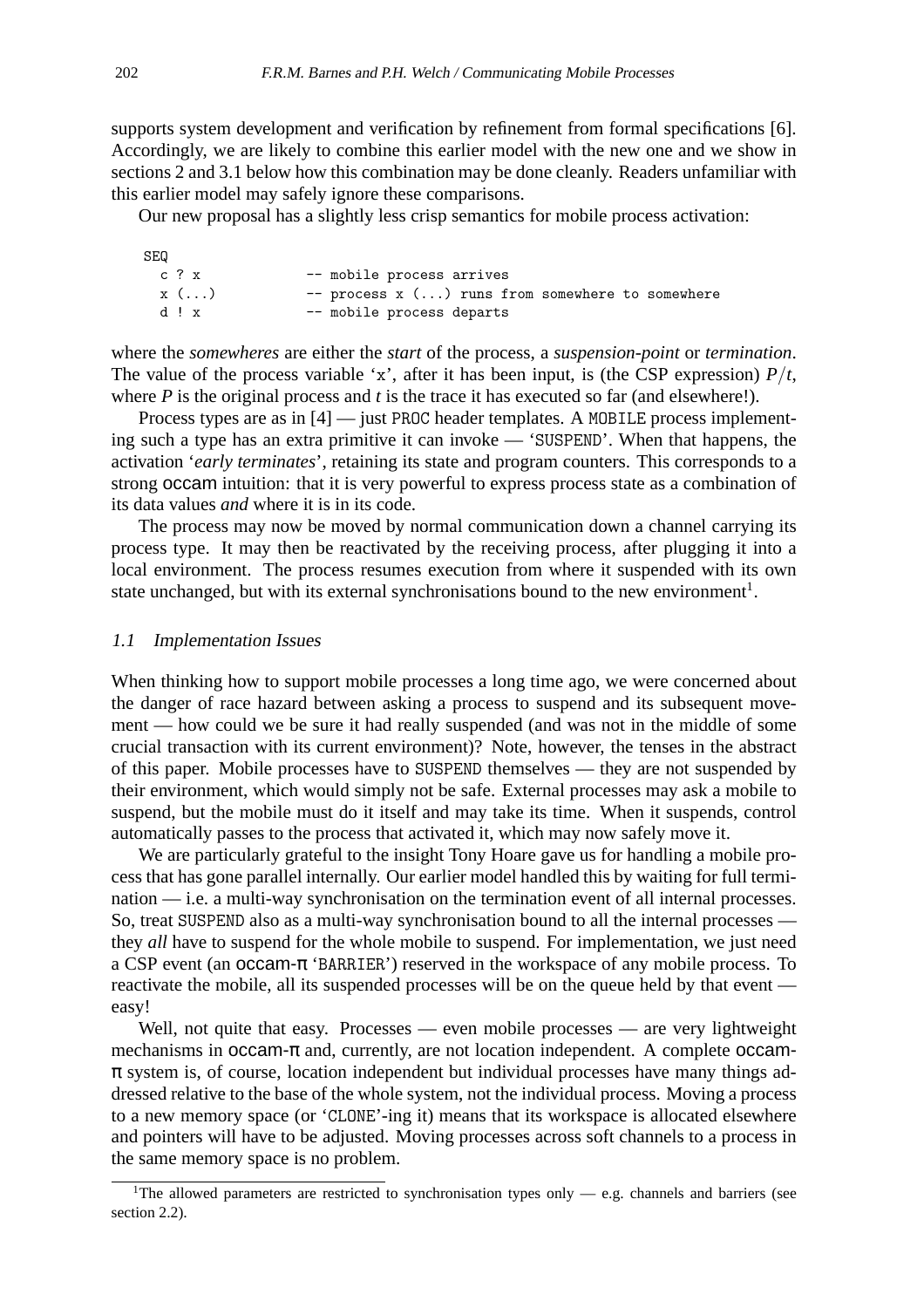supports system development and verification by refinement from formal specifications [6]. Accordingly, we are likely to combine this earlier model with the new one and we show in sections 2 and 3.1 below how this combination may be done cleanly. Readers unfamiliar with this earlier model may safely ignore these comparisons.

Our new proposal has a slightly less crisp semantics for mobile process activation:

| SEQ         |                                                  |
|-------------|--------------------------------------------------|
| c ? x       | -- mobile process arrives                        |
| $x(\ldots)$ | -- process x () runs from somewhere to somewhere |
| d!x         | -- mobile process departs                        |

where the *somewheres* are either the *start* of the process, a *suspension-point* or *termination*. The value of the process variable 'x', after it has been input, is (the CSP expression)  $P/t$ , where *P* is the original process and *t* is the trace it has executed so far (and elsewhere!).

Process types are as in [4] — just PROC header templates. A MOBILE process implementing such a type has an extra primitive it can invoke — 'SUSPEND'. When that happens, the activation '*early terminates*', retaining its state and program counters. This corresponds to a strong occam intuition: that it is very powerful to express process state as a combination of its data values *and* where it is in its code.

The process may now be moved by normal communication down a channel carrying its process type. It may then be reactivated by the receiving process, after plugging it into a local environment. The process resumes execution from where it suspended with its own state unchanged, but with its external synchronisations bound to the new environment<sup>1</sup>.

#### 1.1 Implementation Issues

When thinking how to support mobile processes a long time ago, we were concerned about the danger of race hazard between asking a process to suspend and its subsequent movement — how could we be sure it had really suspended (and was not in the middle of some crucial transaction with its current environment)? Note, however, the tenses in the abstract of this paper. Mobile processes have to SUSPEND themselves — they are not suspended by their environment, which would simply not be safe. External processes may ask a mobile to suspend, but the mobile must do it itself and may take its time. When it suspends, control automatically passes to the process that activated it, which may now safely move it.

We are particularly grateful to the insight Tony Hoare gave us for handling a mobile process that has gone parallel internally. Our earlier model handled this by waiting for full termination — i.e. a multi-way synchronisation on the termination event of all internal processes. So, treat SUSPEND also as a multi-way synchronisation bound to all the internal processes they *all* have to suspend for the whole mobile to suspend. For implementation, we just need a CSP event (an occam-π 'BARRIER') reserved in the workspace of any mobile process. To reactivate the mobile, all its suspended processes will be on the queue held by that event easy!

Well, not quite that easy. Processes — even mobile processes — are very lightweight mechanisms in occam-π and, currently, are not location independent. A complete occam- $\pi$  system is, of course, location independent but individual processes have many things addressed relative to the base of the whole system, not the individual process. Moving a process to a new memory space (or 'CLONE'-ing it) means that its workspace is allocated elsewhere and pointers will have to be adjusted. Moving processes across soft channels to a process in the same memory space is no problem.

<sup>&</sup>lt;sup>1</sup>The allowed parameters are restricted to synchronisation types only — e.g. channels and barriers (see section 2.2).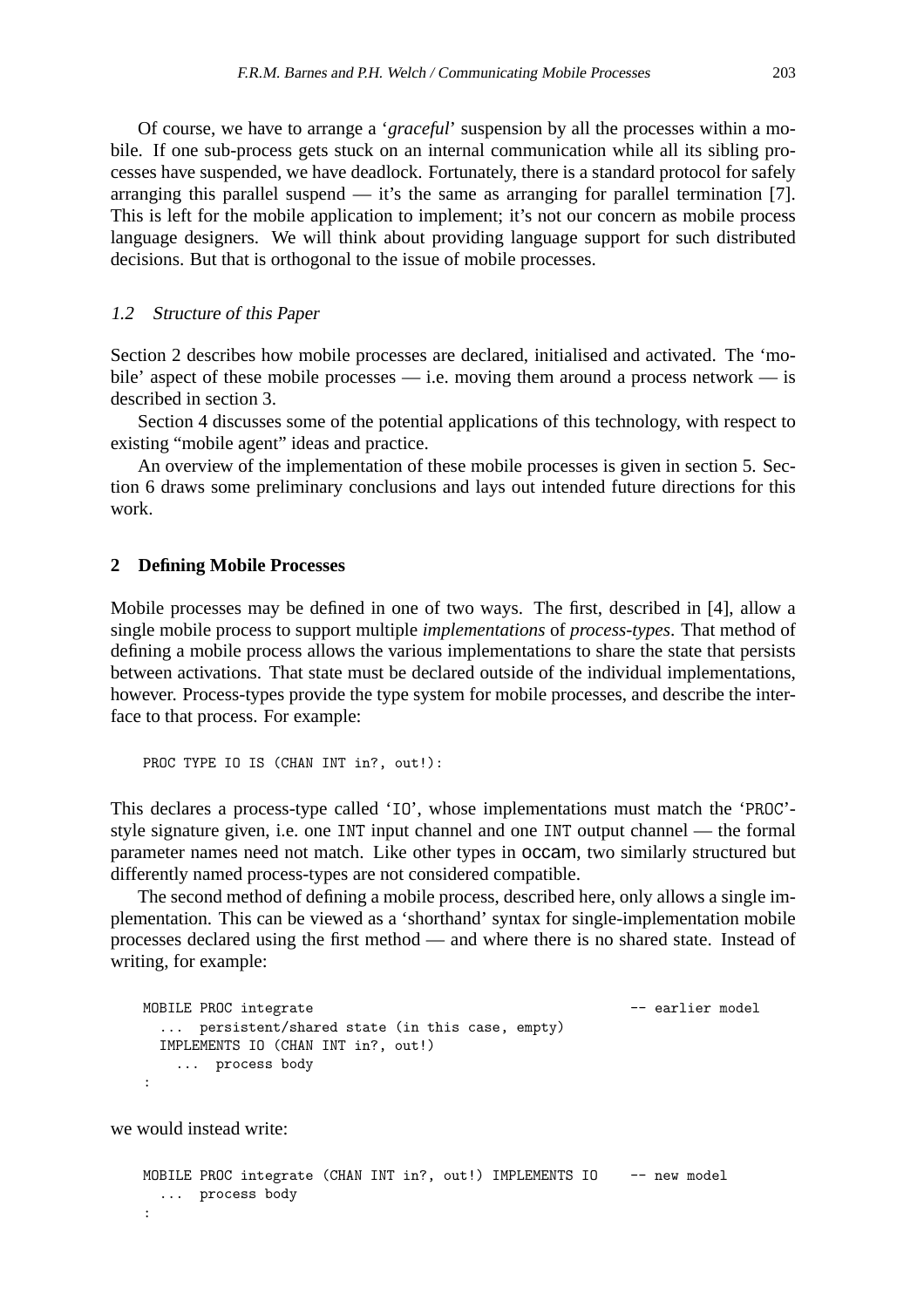Of course, we have to arrange a '*graceful*' suspension by all the processes within a mobile. If one sub-process gets stuck on an internal communication while all its sibling processes have suspended, we have deadlock. Fortunately, there is a standard protocol for safely arranging this parallel suspend  $-$  it's the same as arranging for parallel termination [7]. This is left for the mobile application to implement; it's not our concern as mobile process language designers. We will think about providing language support for such distributed decisions. But that is orthogonal to the issue of mobile processes.

#### 1.2 Structure of this Paper

Section 2 describes how mobile processes are declared, initialised and activated. The 'mobile' aspect of these mobile processes — i.e. moving them around a process network — is described in section 3.

Section 4 discusses some of the potential applications of this technology, with respect to existing "mobile agent" ideas and practice.

An overview of the implementation of these mobile processes is given in section 5. Section 6 draws some preliminary conclusions and lays out intended future directions for this work.

#### **2 Defining Mobile Processes**

Mobile processes may be defined in one of two ways. The first, described in [4], allow a single mobile process to support multiple *implementations* of *process-types*. That method of defining a mobile process allows the various implementations to share the state that persists between activations. That state must be declared outside of the individual implementations, however. Process-types provide the type system for mobile processes, and describe the interface to that process. For example:

PROC TYPE IO IS (CHAN INT in?, out!):

This declares a process-type called 'IO', whose implementations must match the 'PROC' style signature given, i.e. one INT input channel and one INT output channel — the formal parameter names need not match. Like other types in occam, two similarly structured but differently named process-types are not considered compatible.

The second method of defining a mobile process, described here, only allows a single implementation. This can be viewed as a 'shorthand' syntax for single-implementation mobile processes declared using the first method — and where there is no shared state. Instead of writing, for example:

```
MOBILE PROC integrate - earlier model
 ... persistent/shared state (in this case, empty)
 IMPLEMENTS IO (CHAN INT in?, out!)
   ... process body
:
```
we would instead write:

```
MOBILE PROC integrate (CHAN INT in?, out!) IMPLEMENTS IO -- new model
 ... process body
:
```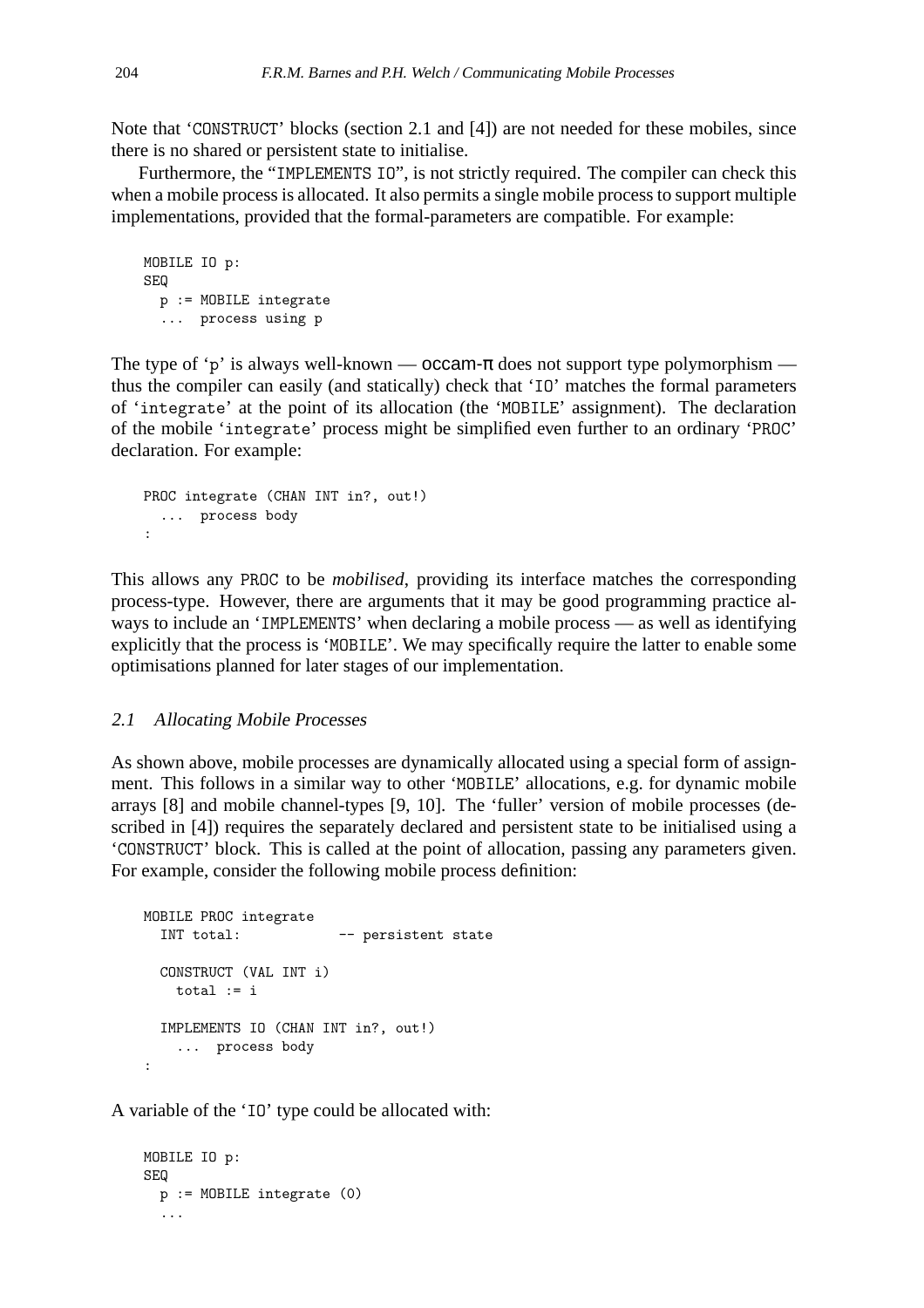Note that 'CONSTRUCT' blocks (section 2.1 and [4]) are not needed for these mobiles, since there is no shared or persistent state to initialise.

Furthermore, the "IMPLEMENTS IO", is not strictly required. The compiler can check this when a mobile process is allocated. It also permits a single mobile process to support multiple implementations, provided that the formal-parameters are compatible. For example:

```
MOBILE IO p:
SEQ
 p := MOBILE integrate
 ... process using p
```
The type of 'p' is always well-known —  $occam-\pi$  does not support type polymorphism thus the compiler can easily (and statically) check that 'IO' matches the formal parameters of 'integrate' at the point of its allocation (the 'MOBILE' assignment). The declaration of the mobile 'integrate' process might be simplified even further to an ordinary 'PROC' declaration. For example:

```
PROC integrate (CHAN INT in?, out!)
  ... process body
:
```
This allows any PROC to be *mobilised*, providing its interface matches the corresponding process-type. However, there are arguments that it may be good programming practice always to include an 'IMPLEMENTS' when declaring a mobile process — as well as identifying explicitly that the process is 'MOBILE'. We may specifically require the latter to enable some optimisations planned for later stages of our implementation.

## 2.1 Allocating Mobile Processes

As shown above, mobile processes are dynamically allocated using a special form of assignment. This follows in a similar way to other 'MOBILE' allocations, e.g. for dynamic mobile arrays [8] and mobile channel-types [9, 10]. The 'fuller' version of mobile processes (described in [4]) requires the separately declared and persistent state to be initialised using a 'CONSTRUCT' block. This is called at the point of allocation, passing any parameters given. For example, consider the following mobile process definition:

```
MOBILE PROC integrate
 INT total: -- persistent state
 CONSTRUCT (VAL INT i)
   total := i
 IMPLEMENTS IO (CHAN INT in?, out!)
   ... process body
:
```
A variable of the 'IO' type could be allocated with:

```
MOBILE IO p:
SEQ
 p := MOBILE integrate (0)
  ...
```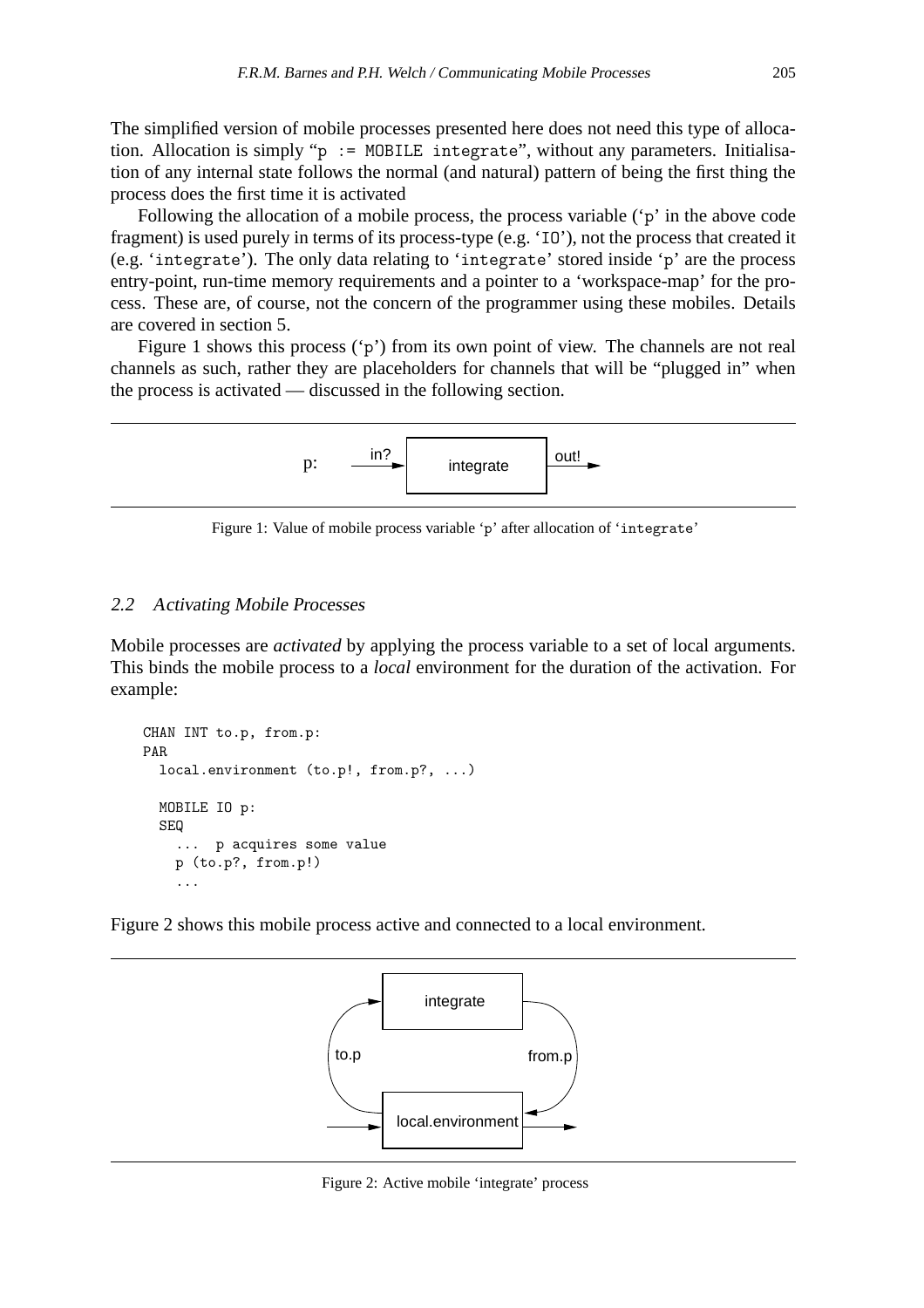The simplified version of mobile processes presented here does not need this type of allocation. Allocation is simply "p := MOBILE integrate", without any parameters. Initialisation of any internal state follows the normal (and natural) pattern of being the first thing the process does the first time it is activated

Following the allocation of a mobile process, the process variable ('p' in the above code fragment) is used purely in terms of its process-type (e.g. 'IO'), not the process that created it (e.g. 'integrate'). The only data relating to 'integrate' stored inside 'p' are the process entry-point, run-time memory requirements and a pointer to a 'workspace-map' for the process. These are, of course, not the concern of the programmer using these mobiles. Details are covered in section 5.

Figure 1 shows this process ('p') from its own point of view. The channels are not real channels as such, rather they are placeholders for channels that will be "plugged in" when the process is activated — discussed in the following section.



Figure 1: Value of mobile process variable 'p' after allocation of 'integrate'

# 2.2 Activating Mobile Processes

Mobile processes are *activated* by applying the process variable to a set of local arguments. This binds the mobile process to a *local* environment for the duration of the activation. For example:

```
CHAN INT to.p, from.p:
PAR
 local.environment (to.p!, from.p?, ...)
 MOBILE IO p:
 SEQ
    ... p acquires some value
    p (to.p?, from.p!)
    ...
```
Figure 2 shows this mobile process active and connected to a local environment.



Figure 2: Active mobile 'integrate' process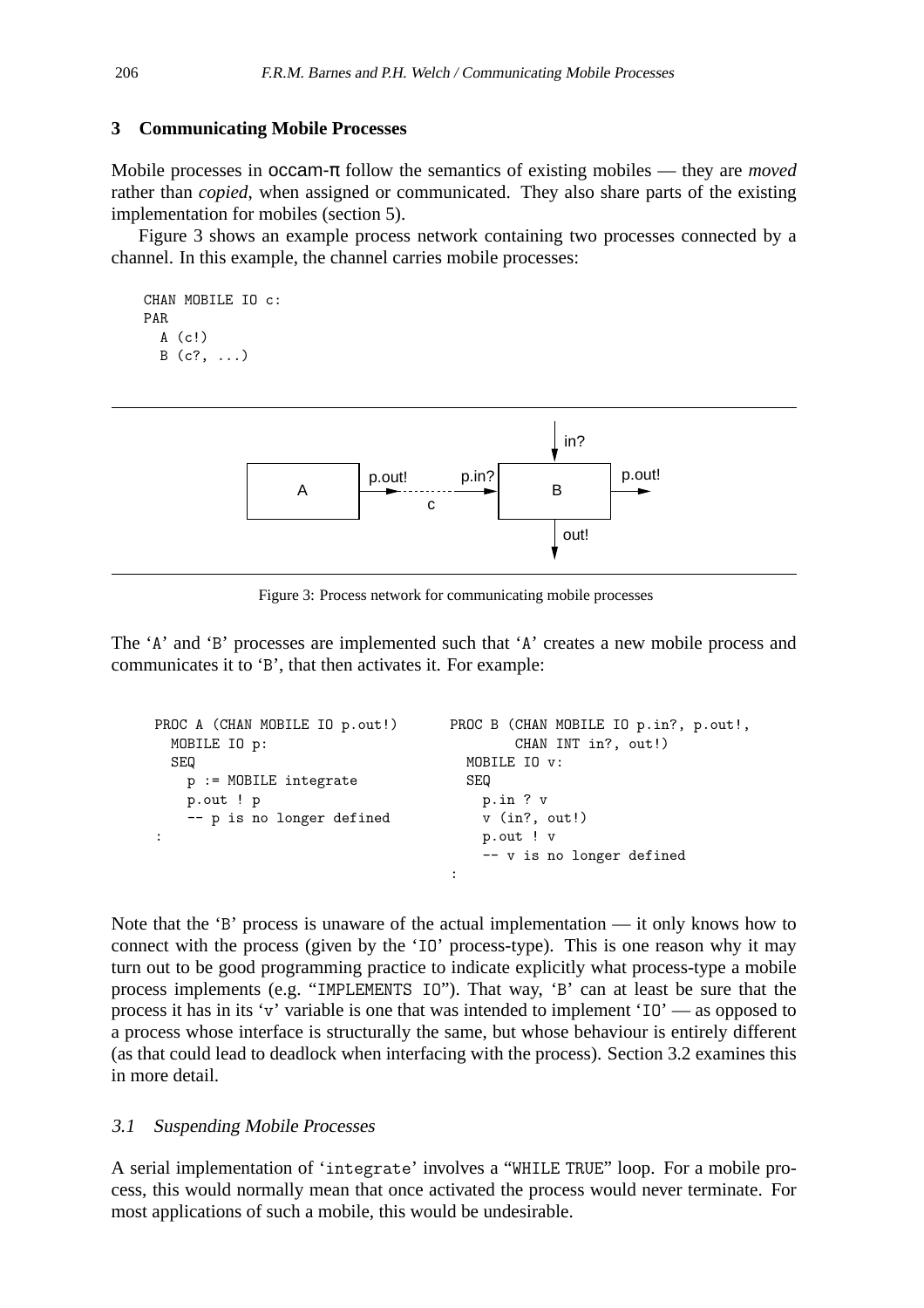# **3 Communicating Mobile Processes**

Mobile processes in occam-π follow the semantics of existing mobiles — they are *moved* rather than *copied*, when assigned or communicated. They also share parts of the existing implementation for mobiles (section 5).

Figure 3 shows an example process network containing two processes connected by a channel. In this example, the channel carries mobile processes:

```
CHAN MOBILE IO c:
PAR
  A (c!)B (c?, ...)
```


Figure 3: Process network for communicating mobile processes

The 'A' and 'B' processes are implemented such that 'A' creates a new mobile process and communicates it to 'B', that then activates it. For example:

```
PROC A (CHAN MOBILE IO p.out!)
 MOBILE IO p:
 SEQ
    p := MOBILE integrate
    p.out ! p
    -- p is no longer defined
:
                                     PROC B (CHAN MOBILE IO p.in?, p.out!,
                                              CHAN INT in?, out!)
                                       MOBILE IO v:
                                       SEQ
                                         p.in ? v
                                         v (in?, out!)
                                         p.out ! v
                                          -- v is no longer defined
                                      :
```
Note that the 'B' process is unaware of the actual implementation — it only knows how to connect with the process (given by the 'IO' process-type). This is one reason why it may turn out to be good programming practice to indicate explicitly what process-type a mobile process implements (e.g. "IMPLEMENTS IO"). That way, 'B' can at least be sure that the process it has in its 'v' variable is one that was intended to implement 'IO' — as opposed to a process whose interface is structurally the same, but whose behaviour is entirely different (as that could lead to deadlock when interfacing with the process). Section 3.2 examines this in more detail.

## 3.1 Suspending Mobile Processes

A serial implementation of 'integrate' involves a "WHILE TRUE" loop. For a mobile process, this would normally mean that once activated the process would never terminate. For most applications of such a mobile, this would be undesirable.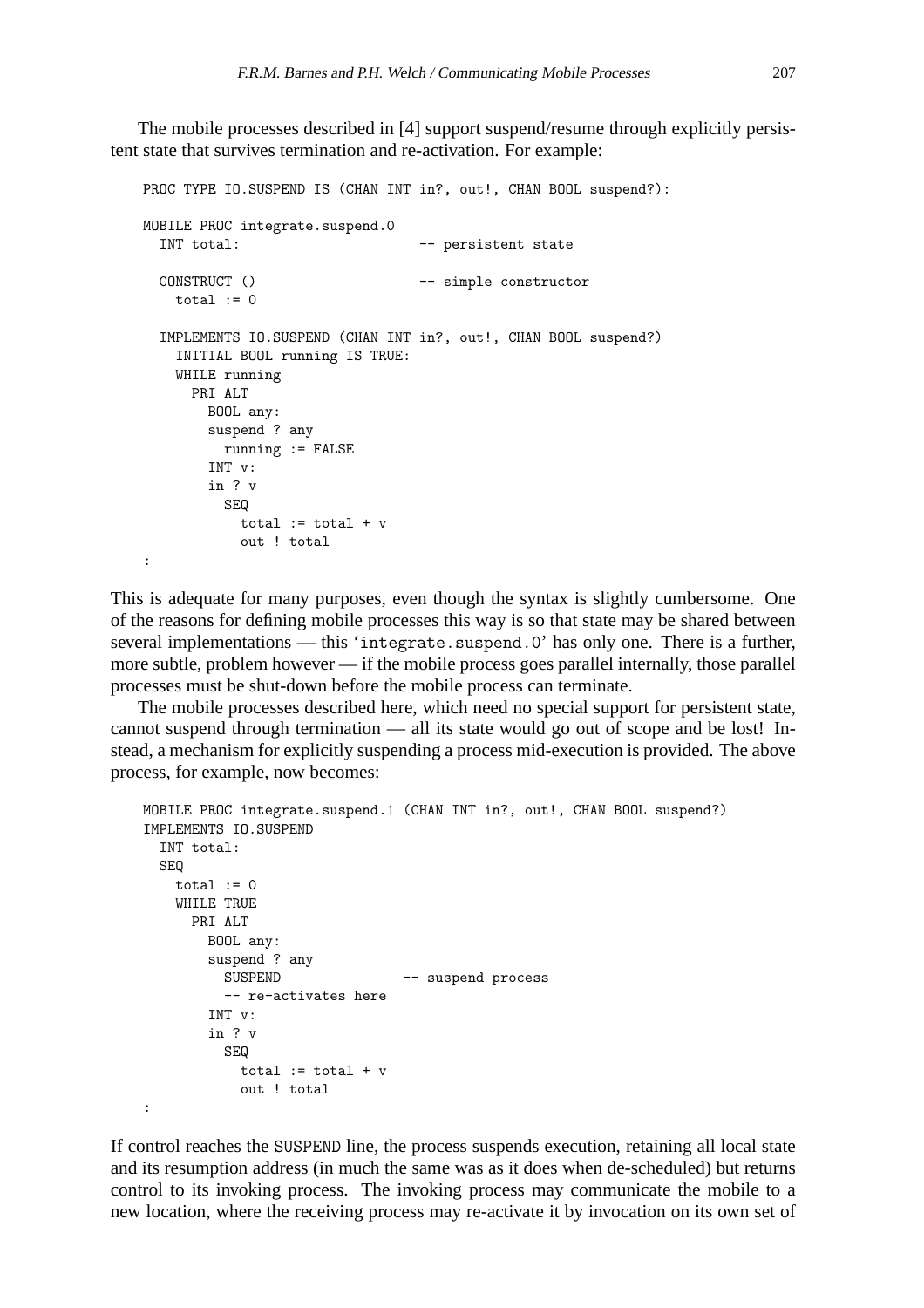The mobile processes described in [4] support suspend/resume through explicitly persistent state that survives termination and re-activation. For example:

```
PROC TYPE IO.SUSPEND IS (CHAN INT in?, out!, CHAN BOOL suspend?):
MOBILE PROC integrate.suspend.0
 INT total: -- persistent state
 CONSTRUCT () -- simple constructor
   total := 0IMPLEMENTS IO.SUSPEND (CHAN INT in?, out!, CHAN BOOL suspend?)
   INITIAL BOOL running IS TRUE:
   WHILE running
     PRI ALT
      BOOL any:
       suspend ? any
        running := FALSE
       INT v:
       in ? v
        SEQ
          total := total + v
          out ! total
```
:

This is adequate for many purposes, even though the syntax is slightly cumbersome. One of the reasons for defining mobile processes this way is so that state may be shared between several implementations — this 'integrate.suspend.0' has only one. There is a further, more subtle, problem however — if the mobile process goes parallel internally, those parallel processes must be shut-down before the mobile process can terminate.

The mobile processes described here, which need no special support for persistent state, cannot suspend through termination — all its state would go out of scope and be lost! Instead, a mechanism for explicitly suspending a process mid-execution is provided. The above process, for example, now becomes:

```
MOBILE PROC integrate.suspend.1 (CHAN INT in?, out!, CHAN BOOL suspend?)
IMPLEMENTS IO.SUSPEND
 INT total:
 SEQ
   total := 0WHILE TRUE
     PRI ALT
       BOOL any:
       suspend ? any
         SUSPEND -- suspend process
         -- re-activates here
       INT v:
       in ? v
         SEQ
          total := total + v
           out ! total
:
```
If control reaches the SUSPEND line, the process suspends execution, retaining all local state and its resumption address (in much the same was as it does when de-scheduled) but returns control to its invoking process. The invoking process may communicate the mobile to a new location, where the receiving process may re-activate it by invocation on its own set of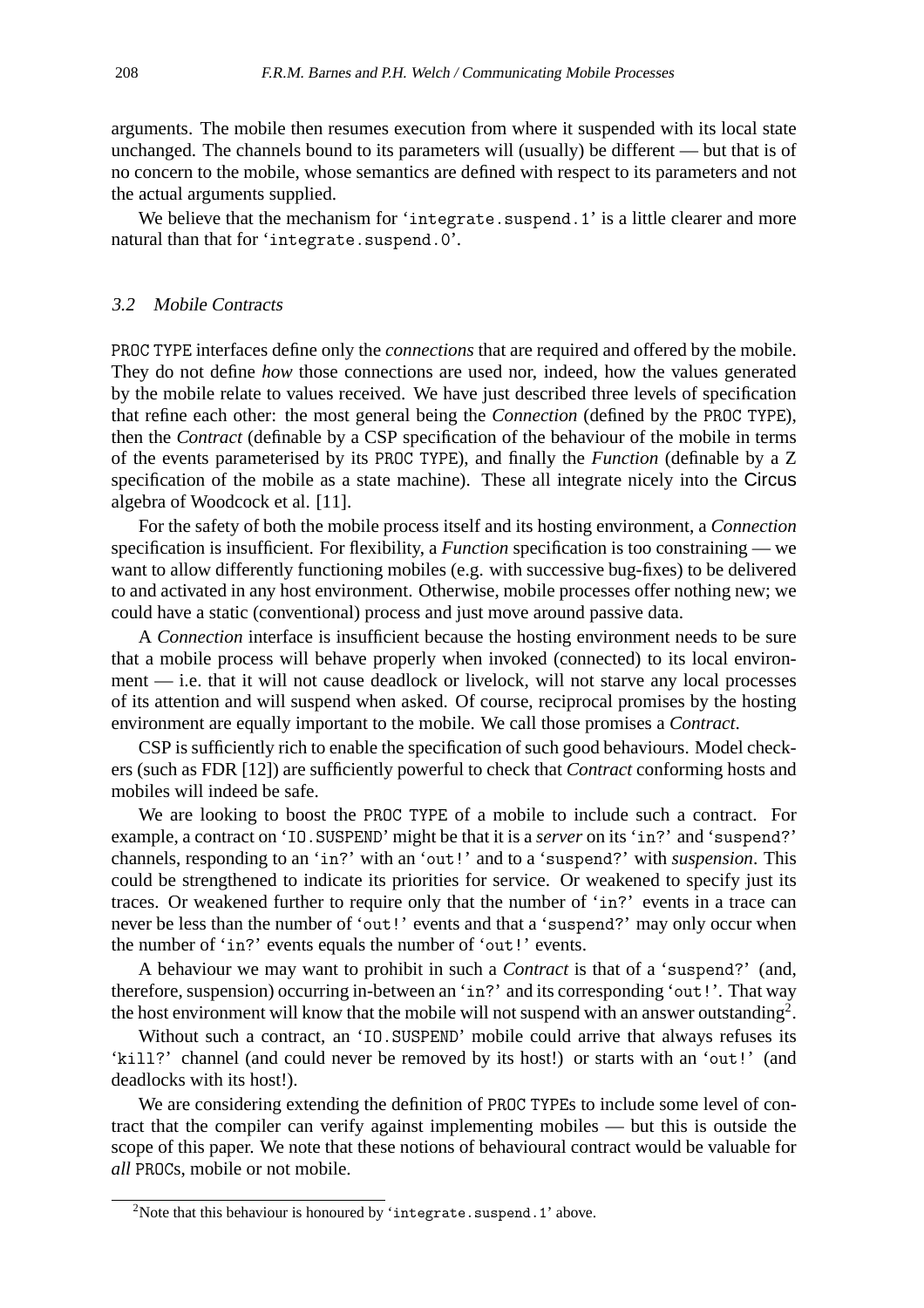arguments. The mobile then resumes execution from where it suspended with its local state unchanged. The channels bound to its parameters will (usually) be different — but that is of no concern to the mobile, whose semantics are defined with respect to its parameters and not the actual arguments supplied.

We believe that the mechanism for 'integrate.suspend.1' is a little clearer and more natural than that for 'integrate.suspend.0'.

## 3.2 Mobile Contracts

PROC TYPE interfaces define only the *connections* that are required and offered by the mobile. They do not define *how* those connections are used nor, indeed, how the values generated by the mobile relate to values received. We have just described three levels of specification that refine each other: the most general being the *Connection* (defined by the PROC TYPE), then the *Contract* (definable by a CSP specification of the behaviour of the mobile in terms of the events parameterised by its PROC TYPE), and finally the *Function* (definable by a Z specification of the mobile as a state machine). These all integrate nicely into the Circus algebra of Woodcock et al. [11].

For the safety of both the mobile process itself and its hosting environment, a *Connection* specification is insufficient. For flexibility, a *Function* specification is too constraining — we want to allow differently functioning mobiles (e.g. with successive bug-fixes) to be delivered to and activated in any host environment. Otherwise, mobile processes offer nothing new; we could have a static (conventional) process and just move around passive data.

A *Connection* interface is insufficient because the hosting environment needs to be sure that a mobile process will behave properly when invoked (connected) to its local environment — i.e. that it will not cause deadlock or livelock, will not starve any local processes of its attention and will suspend when asked. Of course, reciprocal promises by the hosting environment are equally important to the mobile. We call those promises a *Contract*.

CSP is sufficiently rich to enable the specification of such good behaviours. Model checkers (such as FDR [12]) are sufficiently powerful to check that *Contract* conforming hosts and mobiles will indeed be safe.

We are looking to boost the PROC TYPE of a mobile to include such a contract. For example, a contract on 'IO.SUSPEND' might be that it is a *server* on its 'in?' and 'suspend?' channels, responding to an 'in?' with an 'out!' and to a 'suspend?' with *suspension*. This could be strengthened to indicate its priorities for service. Or weakened to specify just its traces. Or weakened further to require only that the number of 'in?' events in a trace can never be less than the number of 'out!' events and that a 'suspend?' may only occur when the number of 'in?' events equals the number of 'out!' events.

A behaviour we may want to prohibit in such a *Contract* is that of a 'suspend?' (and, therefore, suspension) occurring in-between an 'in?' and its corresponding 'out!'. That way the host environment will know that the mobile will not suspend with an answer outstanding<sup>2</sup>.

Without such a contract, an 'IO.SUSPEND' mobile could arrive that always refuses its 'kill?' channel (and could never be removed by its host!) or starts with an 'out!' (and deadlocks with its host!).

We are considering extending the definition of PROC TYPEs to include some level of contract that the compiler can verify against implementing mobiles — but this is outside the scope of this paper. We note that these notions of behavioural contract would be valuable for *all* PROCs, mobile or not mobile.

 $2$ Note that this behaviour is honoured by 'integrate.suspend.1' above.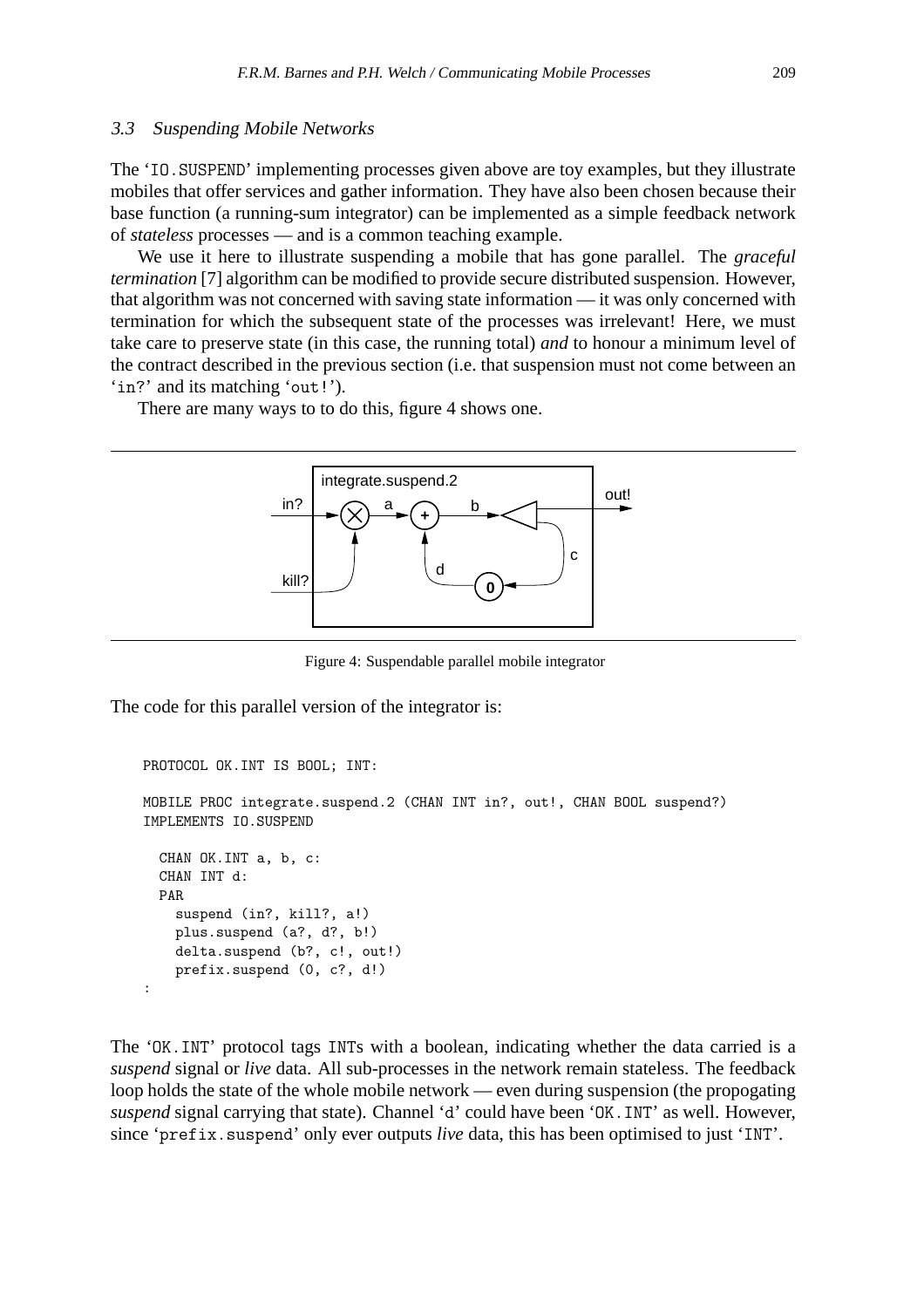## 3.3 Suspending Mobile Networks

The 'IO.SUSPEND' implementing processes given above are toy examples, but they illustrate mobiles that offer services and gather information. They have also been chosen because their base function (a running-sum integrator) can be implemented as a simple feedback network of *stateless* processes — and is a common teaching example.

We use it here to illustrate suspending a mobile that has gone parallel. The *graceful termination* [7] algorithm can be modified to provide secure distributed suspension. However, that algorithm was not concerned with saving state information — it was only concerned with termination for which the subsequent state of the processes was irrelevant! Here, we must take care to preserve state (in this case, the running total) *and* to honour a minimum level of the contract described in the previous section (i.e. that suspension must not come between an 'in?' and its matching 'out!').

There are many ways to to do this, figure 4 shows one.



Figure 4: Suspendable parallel mobile integrator

The code for this parallel version of the integrator is:

```
PROTOCOL OK.INT IS BOOL; INT:
MOBILE PROC integrate.suspend.2 (CHAN INT in?, out!, CHAN BOOL suspend?)
IMPLEMENTS IO.SUSPEND
 CHAN OK.INT a, b, c:
 CHAN INT d:
 PAR
    suspend (in?, kill?, a!)
   plus.suspend (a?, d?, b!)
   delta.suspend (b?, c!, out!)
   prefix.suspend (0, c?, d!)
:
```
The 'OK.INT' protocol tags INTs with a boolean, indicating whether the data carried is a *suspend* signal or *live* data. All sub-processes in the network remain stateless. The feedback loop holds the state of the whole mobile network — even during suspension (the propogating *suspend* signal carrying that state). Channel 'd' could have been 'OK.INT' as well. However, since 'prefix.suspend' only ever outputs *live* data, this has been optimised to just 'INT'.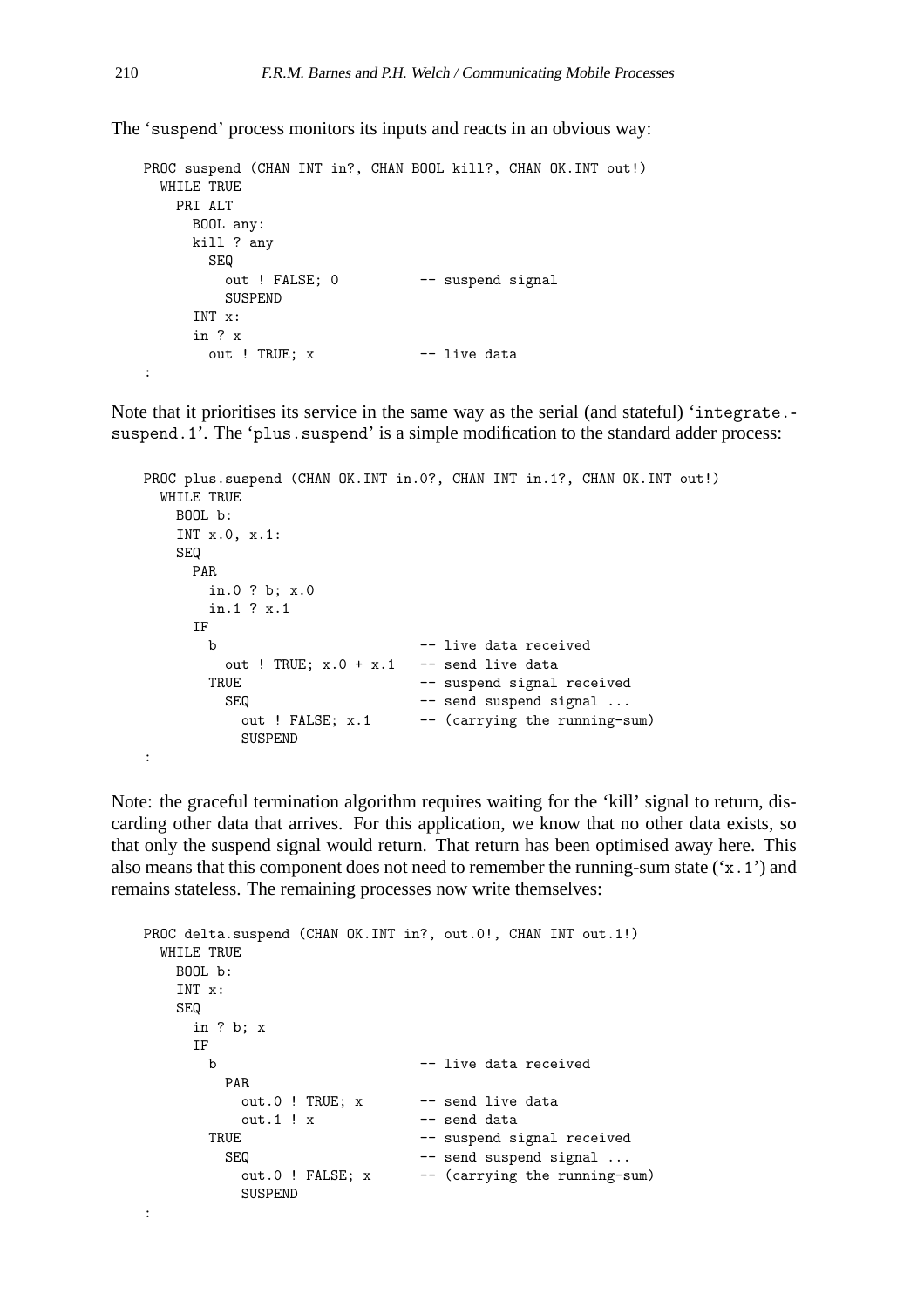The 'suspend' process monitors its inputs and reacts in an obvious way:

```
PROC suspend (CHAN INT in?, CHAN BOOL kill?, CHAN OK.INT out!)
 WHILE TRUE
   PRI ALT
     BOOL any:
     kill ? any
       SEQ
        out ! FALSE; 0 -- suspend signal
        SUSPEND
     INT x:
     in ? x
      out ! TRUE; x -- live data
:
```
Note that it prioritises its service in the same way as the serial (and stateful) 'integrate. suspend.1'. The 'plus.suspend' is a simple modification to the standard adder process:

```
PROC plus.suspend (CHAN OK.INT in.0?, CHAN INT in.1?, CHAN OK.INT out!)
 WHILE TRUE
   BOOL b:
   INT x.0, x.1:
   SEQ
    PAR
      in.0 ? b; x.0
      in.1 ? x.1
    IF
      b - live data received
        out ! TRUE; x.0 + x.1 -- send live data
      TRUE -- suspend signal received
        SEQ -- send suspend signal ...
         out ! FALSE; x.1 -- (carrying the running-sum)
         SUSPEND
:
```
Note: the graceful termination algorithm requires waiting for the 'kill' signal to return, discarding other data that arrives. For this application, we know that no other data exists, so that only the suspend signal would return. That return has been optimised away here. This also means that this component does not need to remember the running-sum state ('x.1') and remains stateless. The remaining processes now write themselves:

```
PROC delta.suspend (CHAN OK.INT in?, out.0!, CHAN INT out.1!)
 WHILE TRUE
  BOOL b:
   INT x:
   SEQ
    in ? b; x
    IF
      b -- live data received
       PAR
         out.0 ! TRUE; x -- send live data
         out.1 ! x -- send data
      TRUE -- suspend signal received
       SEQ -- send suspend signal ...
         out.0 ! FALSE; x -- (carrying the running-sum)
         SUSPEND
:
```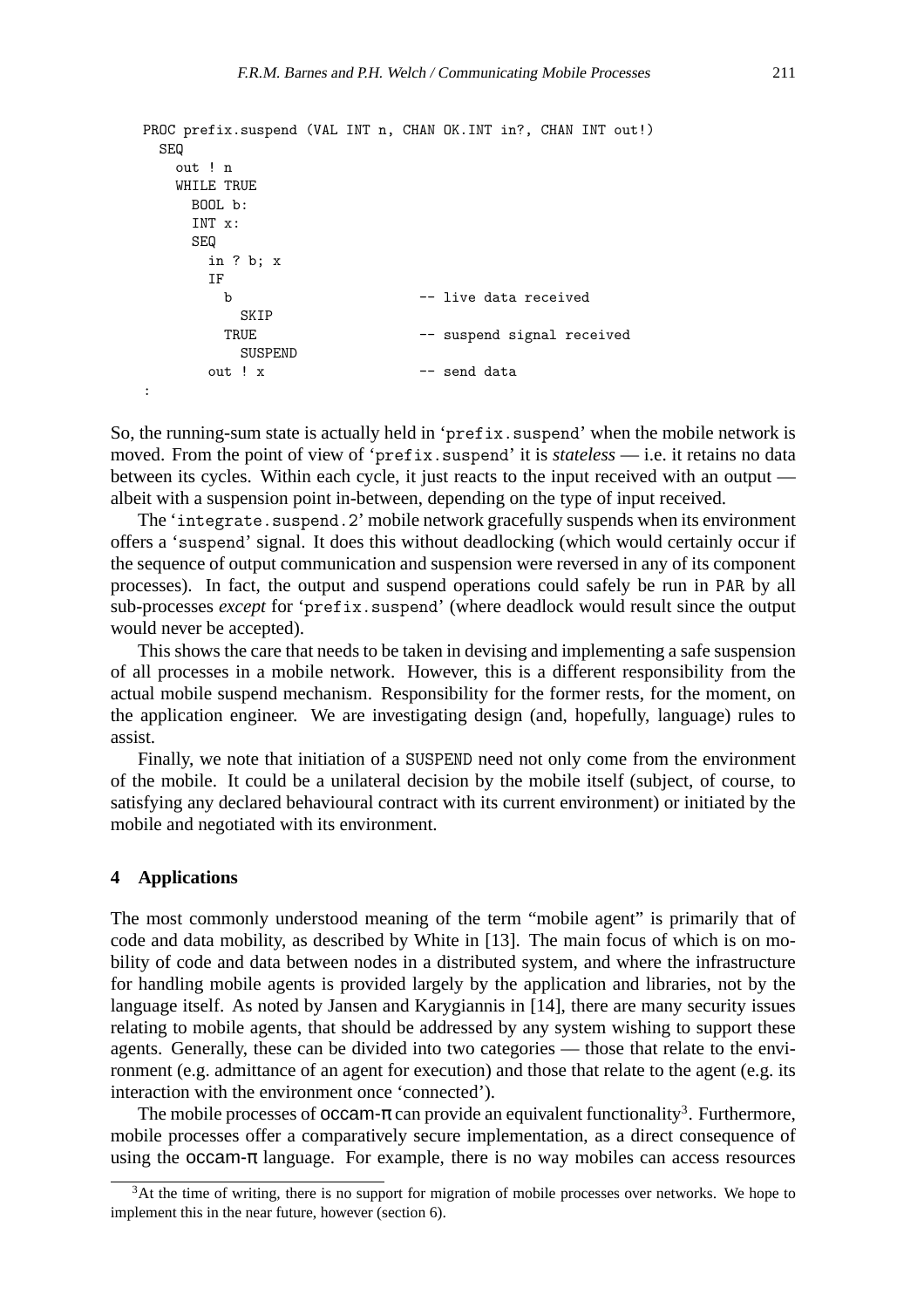```
PROC prefix.suspend (VAL INT n, CHAN OK.INT in?, CHAN INT out!)
 SEQ
   out ! n
   WHILE TRUE
    BOOL b:
    INT x:
    SEQ
      in ? b; x
      IF
       b -- live data received
         SKIP
       TRUE -- suspend signal received
         SUSPEND
      out ! x -- send data
:
```
So, the running-sum state is actually held in 'prefix. suspend' when the mobile network is moved. From the point of view of 'prefix.suspend' it is *stateless* — i.e. it retains no data between its cycles. Within each cycle, it just reacts to the input received with an output albeit with a suspension point in-between, depending on the type of input received.

The 'integrate.suspend.2' mobile network gracefully suspends when its environment offers a 'suspend' signal. It does this without deadlocking (which would certainly occur if the sequence of output communication and suspension were reversed in any of its component processes). In fact, the output and suspend operations could safely be run in PAR by all sub-processes *except* for 'prefix.suspend' (where deadlock would result since the output would never be accepted).

This shows the care that needs to be taken in devising and implementing a safe suspension of all processes in a mobile network. However, this is a different responsibility from the actual mobile suspend mechanism. Responsibility for the former rests, for the moment, on the application engineer. We are investigating design (and, hopefully, language) rules to assist.

Finally, we note that initiation of a SUSPEND need not only come from the environment of the mobile. It could be a unilateral decision by the mobile itself (subject, of course, to satisfying any declared behavioural contract with its current environment) or initiated by the mobile and negotiated with its environment.

# **4 Applications**

The most commonly understood meaning of the term "mobile agent" is primarily that of code and data mobility, as described by White in [13]. The main focus of which is on mobility of code and data between nodes in a distributed system, and where the infrastructure for handling mobile agents is provided largely by the application and libraries, not by the language itself. As noted by Jansen and Karygiannis in [14], there are many security issues relating to mobile agents, that should be addressed by any system wishing to support these agents. Generally, these can be divided into two categories — those that relate to the environment (e.g. admittance of an agent for execution) and those that relate to the agent (e.g. its interaction with the environment once 'connected').

The mobile processes of occam- $\pi$  can provide an equivalent functionality<sup>3</sup>. Furthermore, mobile processes offer a comparatively secure implementation, as a direct consequence of using the occam- $\pi$  language. For example, there is no way mobiles can access resources

 $3$ At the time of writing, there is no support for migration of mobile processes over networks. We hope to implement this in the near future, however (section 6).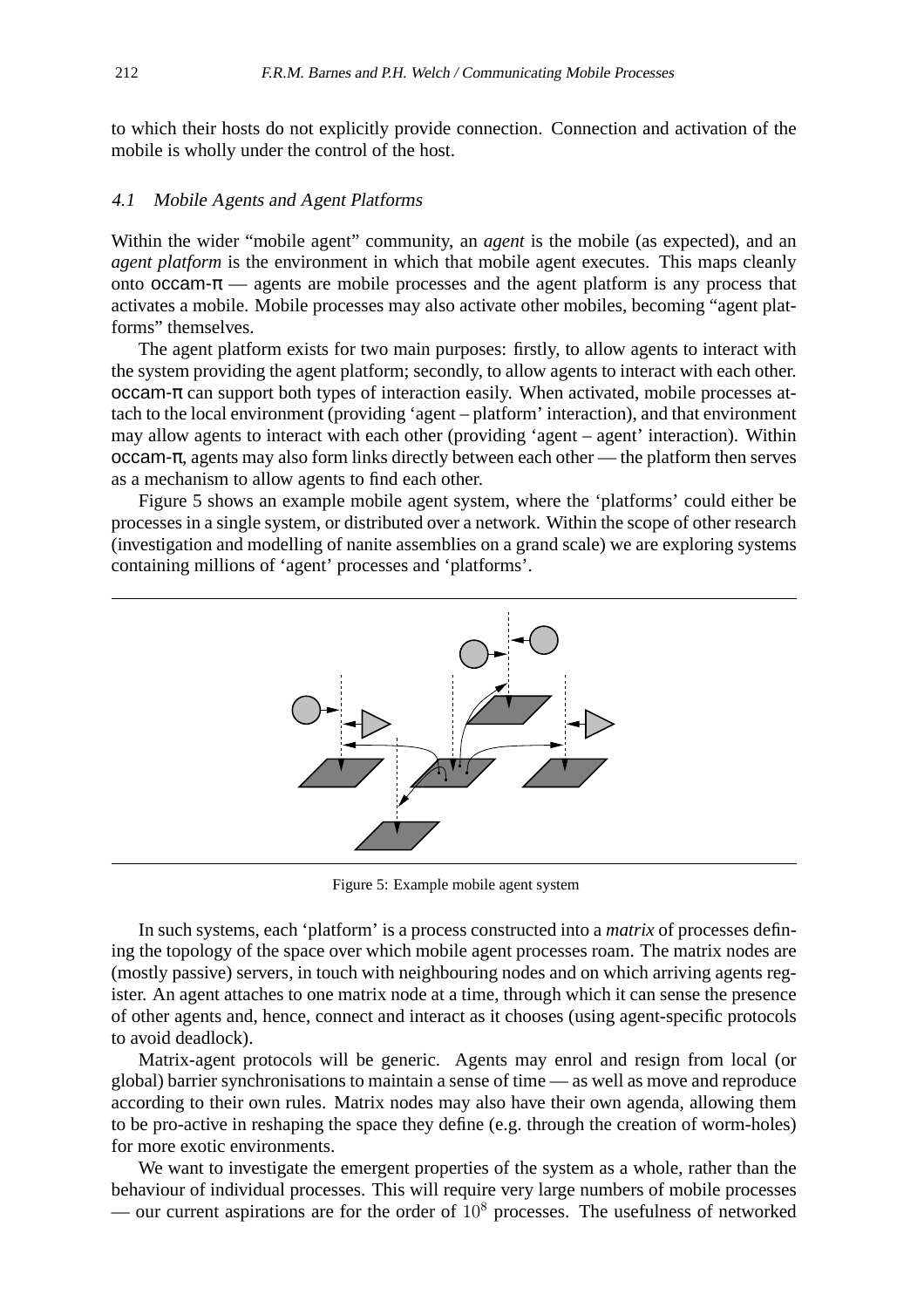to which their hosts do not explicitly provide connection. Connection and activation of the mobile is wholly under the control of the host.

# 4.1 Mobile Agents and Agent Platforms

Within the wider "mobile agent" community, an *agent* is the mobile (as expected), and an *agent platform* is the environment in which that mobile agent executes. This maps cleanly onto occam- $\pi$  — agents are mobile processes and the agent platform is any process that activates a mobile. Mobile processes may also activate other mobiles, becoming "agent platforms" themselves.

The agent platform exists for two main purposes: firstly, to allow agents to interact with the system providing the agent platform; secondly, to allow agents to interact with each other.  $occam-\pi$  can support both types of interaction easily. When activated, mobile processes attach to the local environment (providing 'agent – platform' interaction), and that environment may allow agents to interact with each other (providing 'agent – agent' interaction). Within occam-π, agents may also form links directly between each other — the platform then serves as a mechanism to allow agents to find each other.

Figure 5 shows an example mobile agent system, where the 'platforms' could either be processes in a single system, or distributed over a network. Within the scope of other research (investigation and modelling of nanite assemblies on a grand scale) we are exploring systems containing millions of 'agent' processes and 'platforms'.



Figure 5: Example mobile agent system

In such systems, each 'platform' is a process constructed into a *matrix* of processes defining the topology of the space over which mobile agent processes roam. The matrix nodes are (mostly passive) servers, in touch with neighbouring nodes and on which arriving agents register. An agent attaches to one matrix node at a time, through which it can sense the presence of other agents and, hence, connect and interact as it chooses (using agent-specific protocols to avoid deadlock).

Matrix-agent protocols will be generic. Agents may enrol and resign from local (or global) barrier synchronisations to maintain a sense of time — as well as move and reproduce according to their own rules. Matrix nodes may also have their own agenda, allowing them to be pro-active in reshaping the space they define (e.g. through the creation of worm-holes) for more exotic environments.

We want to investigate the emergent properties of the system as a whole, rather than the behaviour of individual processes. This will require very large numbers of mobile processes — our current aspirations are for the order of  $10^8$  processes. The usefulness of networked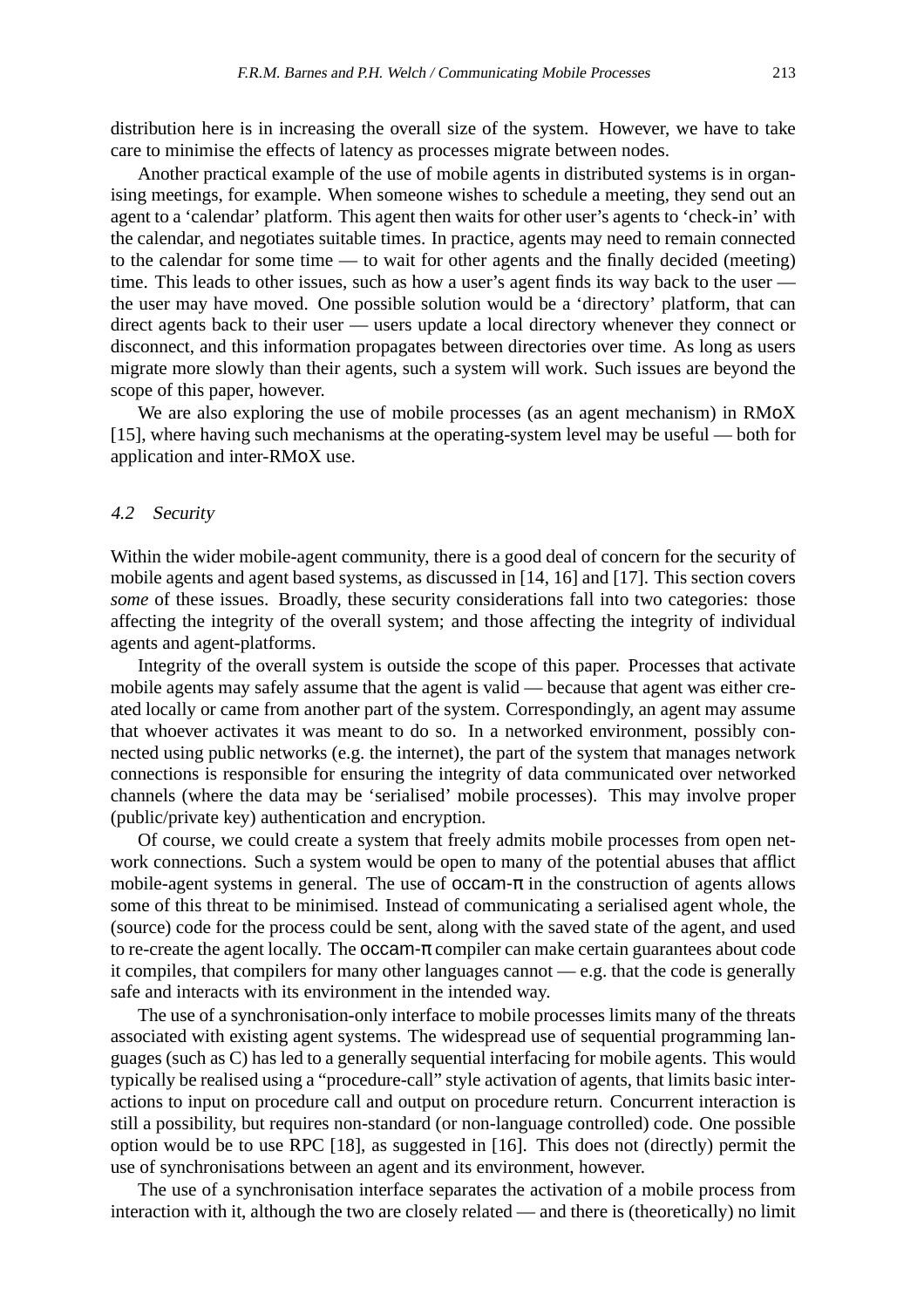distribution here is in increasing the overall size of the system. However, we have to take care to minimise the effects of latency as processes migrate between nodes.

Another practical example of the use of mobile agents in distributed systems is in organising meetings, for example. When someone wishes to schedule a meeting, they send out an agent to a 'calendar' platform. This agent then waits for other user's agents to 'check-in' with the calendar, and negotiates suitable times. In practice, agents may need to remain connected to the calendar for some time — to wait for other agents and the finally decided (meeting) time. This leads to other issues, such as how a user's agent finds its way back to the user the user may have moved. One possible solution would be a 'directory' platform, that can direct agents back to their user — users update a local directory whenever they connect or disconnect, and this information propagates between directories over time. As long as users migrate more slowly than their agents, such a system will work. Such issues are beyond the scope of this paper, however.

We are also exploring the use of mobile processes (as an agent mechanism) in RMoX [15], where having such mechanisms at the operating-system level may be useful — both for application and inter-RMoX use.

## 4.2 Security

Within the wider mobile-agent community, there is a good deal of concern for the security of mobile agents and agent based systems, as discussed in [14, 16] and [17]. This section covers *some* of these issues. Broadly, these security considerations fall into two categories: those affecting the integrity of the overall system; and those affecting the integrity of individual agents and agent-platforms.

Integrity of the overall system is outside the scope of this paper. Processes that activate mobile agents may safely assume that the agent is valid — because that agent was either created locally or came from another part of the system. Correspondingly, an agent may assume that whoever activates it was meant to do so. In a networked environment, possibly connected using public networks (e.g. the internet), the part of the system that manages network connections is responsible for ensuring the integrity of data communicated over networked channels (where the data may be 'serialised' mobile processes). This may involve proper (public/private key) authentication and encryption.

Of course, we could create a system that freely admits mobile processes from open network connections. Such a system would be open to many of the potential abuses that afflict mobile-agent systems in general. The use of  $occam-\pi$  in the construction of agents allows some of this threat to be minimised. Instead of communicating a serialised agent whole, the (source) code for the process could be sent, along with the saved state of the agent, and used to re-create the agent locally. The  $occam-\pi$  compiler can make certain guarantees about code it compiles, that compilers for many other languages cannot — e.g. that the code is generally safe and interacts with its environment in the intended way.

The use of a synchronisation-only interface to mobile processes limits many of the threats associated with existing agent systems. The widespread use of sequential programming languages (such as C) has led to a generally sequential interfacing for mobile agents. This would typically be realised using a "procedure-call" style activation of agents, that limits basic interactions to input on procedure call and output on procedure return. Concurrent interaction is still a possibility, but requires non-standard (or non-language controlled) code. One possible option would be to use RPC [18], as suggested in [16]. This does not (directly) permit the use of synchronisations between an agent and its environment, however.

The use of a synchronisation interface separates the activation of a mobile process from interaction with it, although the two are closely related — and there is (theoretically) no limit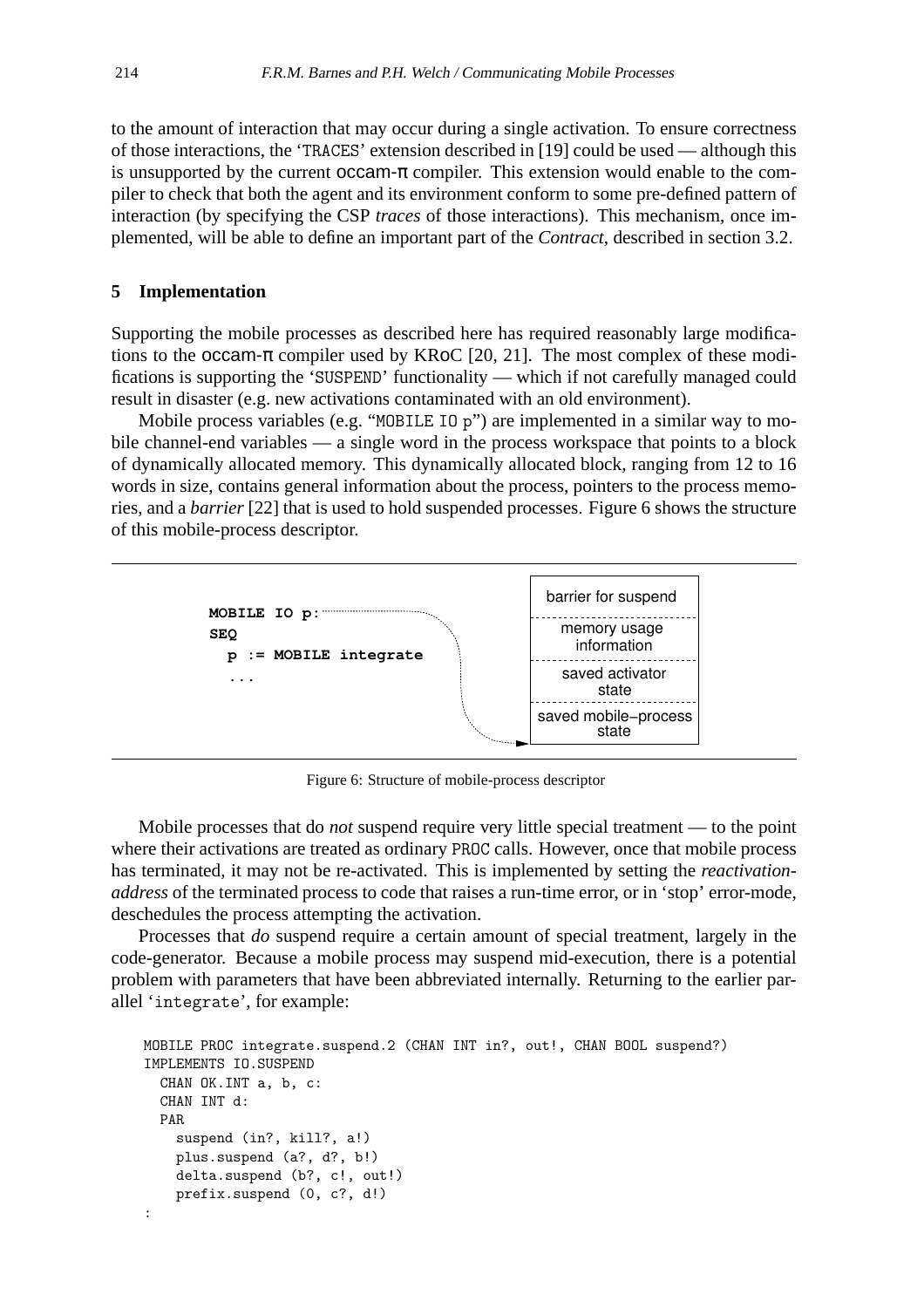to the amount of interaction that may occur during a single activation. To ensure correctness of those interactions, the 'TRACES' extension described in [19] could be used — although this is unsupported by the current  $occam-\pi$  compiler. This extension would enable to the compiler to check that both the agent and its environment conform to some pre-defined pattern of interaction (by specifying the CSP *traces* of those interactions). This mechanism, once implemented, will be able to define an important part of the *Contract*, described in section 3.2.

## **5 Implementation**

Supporting the mobile processes as described here has required reasonably large modifications to the occam- $\pi$  compiler used by KRoC [20, 21]. The most complex of these modifications is supporting the 'SUSPEND' functionality — which if not carefully managed could result in disaster (e.g. new activations contaminated with an old environment).

Mobile process variables (e.g. "MOBILE IO p") are implemented in a similar way to mobile channel-end variables — a single word in the process workspace that points to a block of dynamically allocated memory. This dynamically allocated block, ranging from 12 to 16 words in size, contains general information about the process, pointers to the process memories, and a *barrier* [22] that is used to hold suspended processes. Figure 6 shows the structure of this mobile-process descriptor.



Figure 6: Structure of mobile-process descriptor

Mobile processes that do *not* suspend require very little special treatment — to the point where their activations are treated as ordinary PROC calls. However, once that mobile process has terminated, it may not be re-activated. This is implemented by setting the *reactivationaddress* of the terminated process to code that raises a run-time error, or in 'stop' error-mode, deschedules the process attempting the activation.

Processes that *do* suspend require a certain amount of special treatment, largely in the code-generator. Because a mobile process may suspend mid-execution, there is a potential problem with parameters that have been abbreviated internally. Returning to the earlier parallel 'integrate', for example:

```
MOBILE PROC integrate.suspend.2 (CHAN INT in?, out!, CHAN BOOL suspend?)
IMPLEMENTS IO.SUSPEND
 CHAN OK.INT a, b, c:
 CHAN INT d:
 PAR
    suspend (in?, kill?, a!)
    plus.suspend (a?, d?, b!)
    delta.suspend (b?, c!, out!)
    prefix.suspend (0, c?, d!)
:
```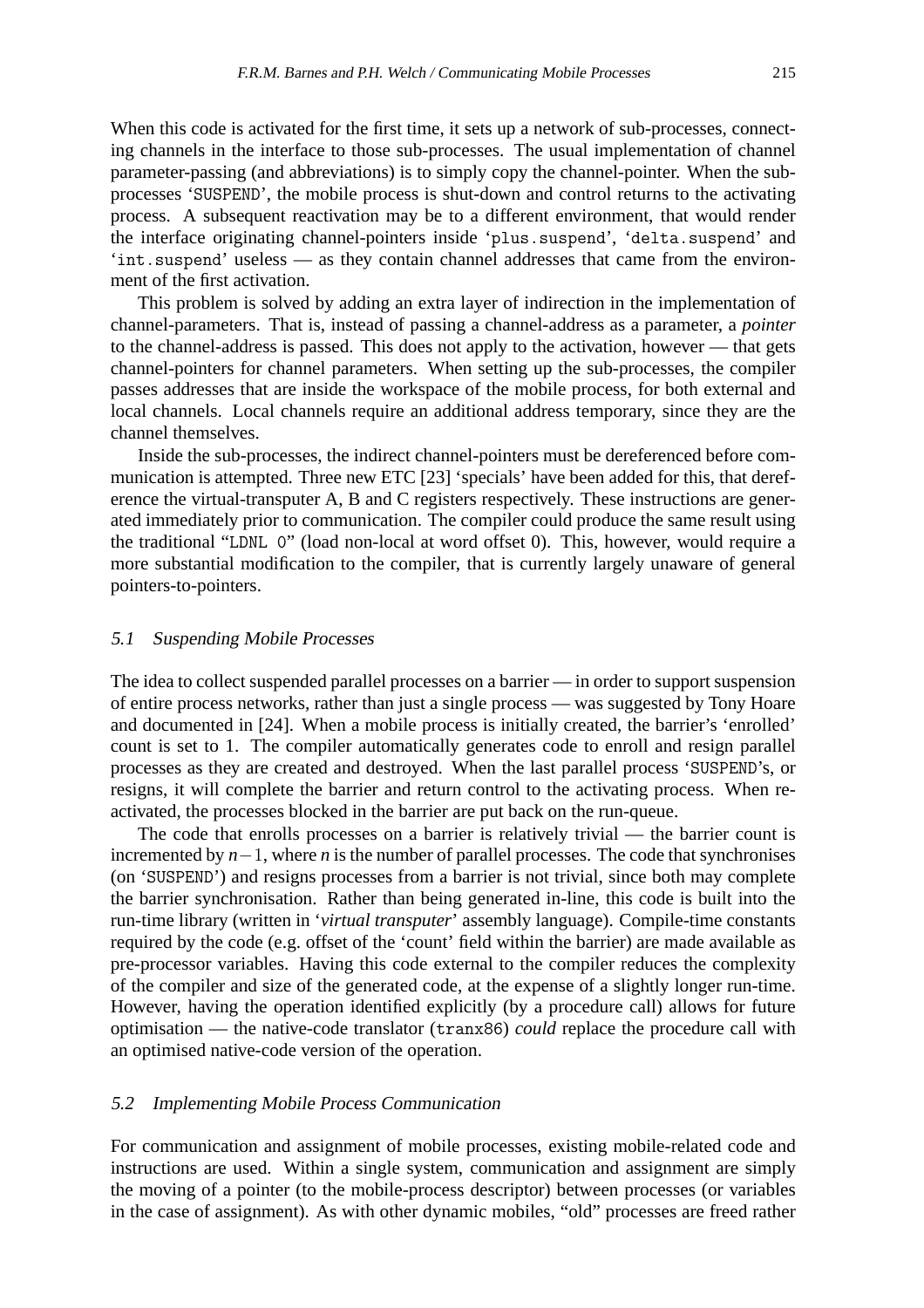When this code is activated for the first time, it sets up a network of sub-processes, connecting channels in the interface to those sub-processes. The usual implementation of channel parameter-passing (and abbreviations) is to simply copy the channel-pointer. When the subprocesses 'SUSPEND', the mobile process is shut-down and control returns to the activating process. A subsequent reactivation may be to a different environment, that would render the interface originating channel-pointers inside 'plus.suspend', 'delta.suspend' and 'int.suspend' useless — as they contain channel addresses that came from the environment of the first activation.

This problem is solved by adding an extra layer of indirection in the implementation of channel-parameters. That is, instead of passing a channel-address as a parameter, a *pointer* to the channel-address is passed. This does not apply to the activation, however — that gets channel-pointers for channel parameters. When setting up the sub-processes, the compiler passes addresses that are inside the workspace of the mobile process, for both external and local channels. Local channels require an additional address temporary, since they are the channel themselves.

Inside the sub-processes, the indirect channel-pointers must be dereferenced before communication is attempted. Three new ETC [23] 'specials' have been added for this, that dereference the virtual-transputer A, B and C registers respectively. These instructions are generated immediately prior to communication. The compiler could produce the same result using the traditional "LDNL 0" (load non-local at word offset 0). This, however, would require a more substantial modification to the compiler, that is currently largely unaware of general pointers-to-pointers.

#### 5.1 Suspending Mobile Processes

The idea to collect suspended parallel processes on a barrier — in order to support suspension of entire process networks, rather than just a single process — was suggested by Tony Hoare and documented in [24]. When a mobile process is initially created, the barrier's 'enrolled' count is set to 1. The compiler automatically generates code to enroll and resign parallel processes as they are created and destroyed. When the last parallel process 'SUSPEND's, or resigns, it will complete the barrier and return control to the activating process. When reactivated, the processes blocked in the barrier are put back on the run-queue.

The code that enrolls processes on a barrier is relatively trivial — the barrier count is incremented by *n*−1, where *n* is the number of parallel processes. The code that synchronises (on 'SUSPEND') and resigns processes from a barrier is not trivial, since both may complete the barrier synchronisation. Rather than being generated in-line, this code is built into the run-time library (written in '*virtual transputer*' assembly language). Compile-time constants required by the code (e.g. offset of the 'count' field within the barrier) are made available as pre-processor variables. Having this code external to the compiler reduces the complexity of the compiler and size of the generated code, at the expense of a slightly longer run-time. However, having the operation identified explicitly (by a procedure call) allows for future optimisation — the native-code translator (tranx86) *could* replace the procedure call with an optimised native-code version of the operation.

#### 5.2 Implementing Mobile Process Communication

For communication and assignment of mobile processes, existing mobile-related code and instructions are used. Within a single system, communication and assignment are simply the moving of a pointer (to the mobile-process descriptor) between processes (or variables in the case of assignment). As with other dynamic mobiles, "old" processes are freed rather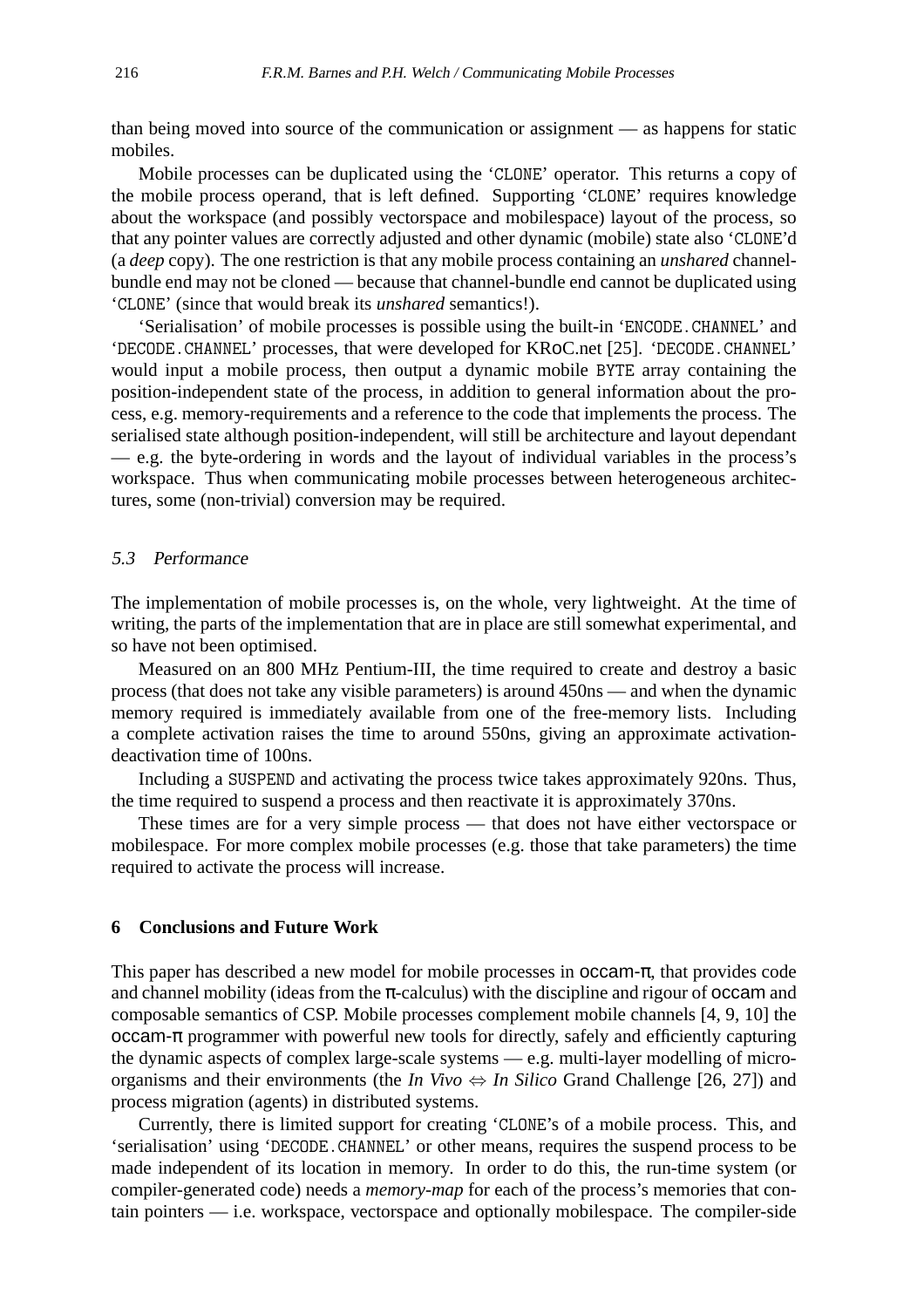than being moved into source of the communication or assignment — as happens for static mobiles.

Mobile processes can be duplicated using the 'CLONE' operator. This returns a copy of the mobile process operand, that is left defined. Supporting 'CLONE' requires knowledge about the workspace (and possibly vectorspace and mobilespace) layout of the process, so that any pointer values are correctly adjusted and other dynamic (mobile) state also 'CLONE'd (a *deep* copy). The one restriction is that any mobile process containing an *unshared* channelbundle end may not be cloned — because that channel-bundle end cannot be duplicated using 'CLONE' (since that would break its *unshared* semantics!).

'Serialisation' of mobile processes is possible using the built-in 'ENCODE.CHANNEL' and 'DECODE.CHANNEL' processes, that were developed for KRoC.net [25]. 'DECODE.CHANNEL' would input a mobile process, then output a dynamic mobile BYTE array containing the position-independent state of the process, in addition to general information about the process, e.g. memory-requirements and a reference to the code that implements the process. The serialised state although position-independent, will still be architecture and layout dependant — e.g. the byte-ordering in words and the layout of individual variables in the process's workspace. Thus when communicating mobile processes between heterogeneous architectures, some (non-trivial) conversion may be required.

# 5.3 Performance

The implementation of mobile processes is, on the whole, very lightweight. At the time of writing, the parts of the implementation that are in place are still somewhat experimental, and so have not been optimised.

Measured on an 800 MHz Pentium-III, the time required to create and destroy a basic process (that does not take any visible parameters) is around 450ns — and when the dynamic memory required is immediately available from one of the free-memory lists. Including a complete activation raises the time to around 550ns, giving an approximate activationdeactivation time of 100ns.

Including a SUSPEND and activating the process twice takes approximately 920ns. Thus, the time required to suspend a process and then reactivate it is approximately 370ns.

These times are for a very simple process — that does not have either vectorspace or mobilespace. For more complex mobile processes (e.g. those that take parameters) the time required to activate the process will increase.

## **6 Conclusions and Future Work**

This paper has described a new model for mobile processes in  $occam-\pi$ , that provides code and channel mobility (ideas from the  $\pi$ -calculus) with the discipline and rigour of **occam** and composable semantics of CSP. Mobile processes complement mobile channels [4, 9, 10] the  $occam-\pi$  programmer with powerful new tools for directly, safely and efficiently capturing the dynamic aspects of complex large-scale systems — e.g. multi-layer modelling of microorganisms and their environments (the *In Vivo*  $\Leftrightarrow$  *In Silico* Grand Challenge [26, 27]) and process migration (agents) in distributed systems.

Currently, there is limited support for creating 'CLONE's of a mobile process. This, and 'serialisation' using 'DECODE.CHANNEL' or other means, requires the suspend process to be made independent of its location in memory. In order to do this, the run-time system (or compiler-generated code) needs a *memory-map* for each of the process's memories that contain pointers — i.e. workspace, vectorspace and optionally mobilespace. The compiler-side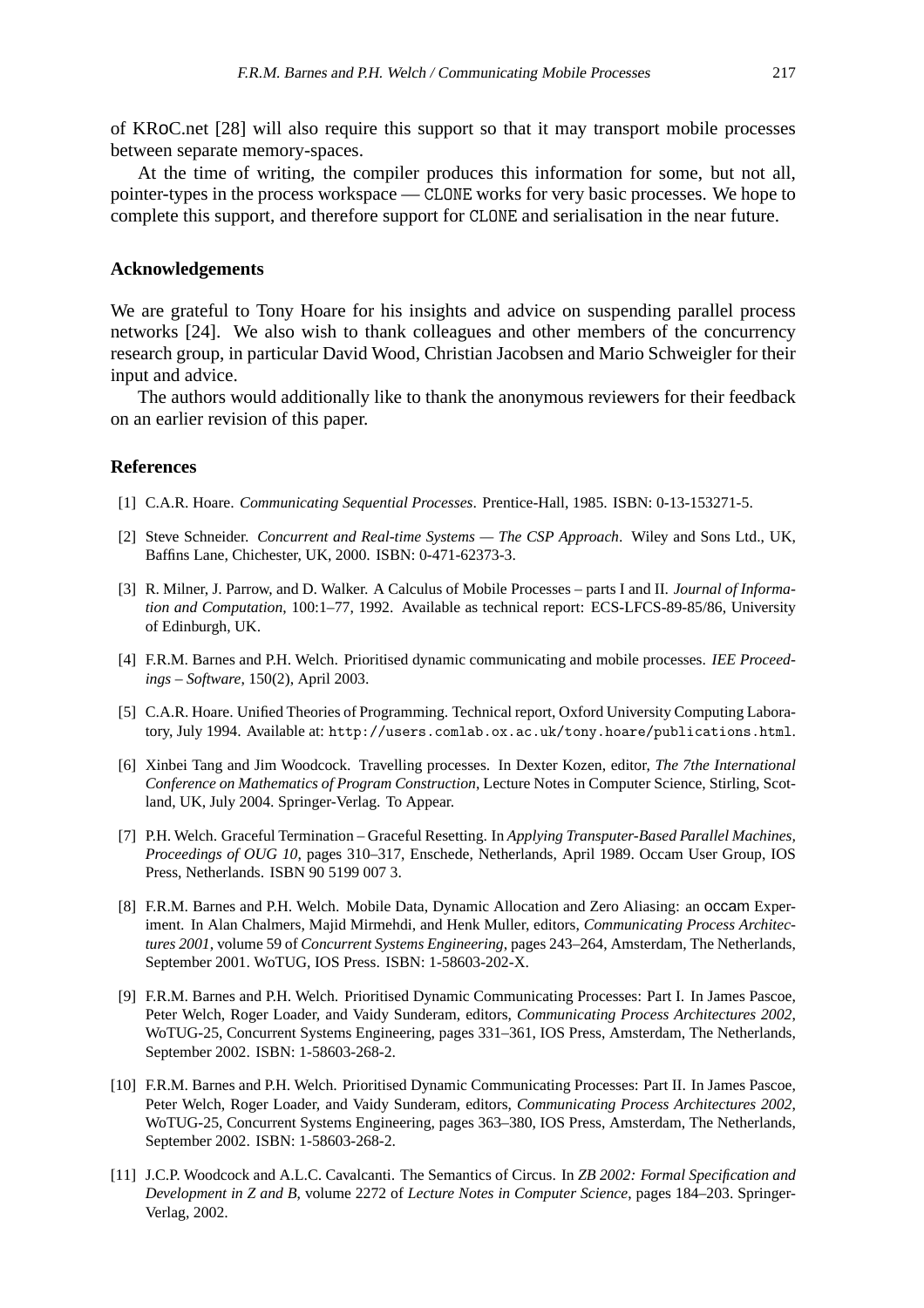of KRoC.net [28] will also require this support so that it may transport mobile processes between separate memory-spaces.

At the time of writing, the compiler produces this information for some, but not all, pointer-types in the process workspace — CLONE works for very basic processes. We hope to complete this support, and therefore support for CLONE and serialisation in the near future.

## **Acknowledgements**

We are grateful to Tony Hoare for his insights and advice on suspending parallel process networks [24]. We also wish to thank colleagues and other members of the concurrency research group, in particular David Wood, Christian Jacobsen and Mario Schweigler for their input and advice.

The authors would additionally like to thank the anonymous reviewers for their feedback on an earlier revision of this paper.

# **References**

- [1] C.A.R. Hoare. *Communicating Sequential Processes*. Prentice-Hall, 1985. ISBN: 0-13-153271-5.
- [2] Steve Schneider. *Concurrent and Real-time Systems The CSP Approach*. Wiley and Sons Ltd., UK, Baffins Lane, Chichester, UK, 2000. ISBN: 0-471-62373-3.
- [3] R. Milner, J. Parrow, and D. Walker. A Calculus of Mobile Processes parts I and II. *Journal of Information and Computation*, 100:1–77, 1992. Available as technical report: ECS-LFCS-89-85/86, University of Edinburgh, UK.
- [4] F.R.M. Barnes and P.H. Welch. Prioritised dynamic communicating and mobile processes. *IEE Proceedings – Software*, 150(2), April 2003.
- [5] C.A.R. Hoare. Unified Theories of Programming. Technical report, Oxford University Computing Laboratory, July 1994. Available at: http://users.comlab.ox.ac.uk/tony.hoare/publications.html.
- [6] Xinbei Tang and Jim Woodcock. Travelling processes. In Dexter Kozen, editor, *The 7the International Conference on Mathematics of Program Construction*, Lecture Notes in Computer Science, Stirling, Scotland, UK, July 2004. Springer-Verlag. To Appear.
- [7] P.H. Welch. Graceful Termination Graceful Resetting. In *Applying Transputer-Based Parallel Machines, Proceedings of OUG 10*, pages 310–317, Enschede, Netherlands, April 1989. Occam User Group, IOS Press, Netherlands. ISBN 90 5199 007 3.
- [8] F.R.M. Barnes and P.H. Welch. Mobile Data, Dynamic Allocation and Zero Aliasing: an occam Experiment. In Alan Chalmers, Majid Mirmehdi, and Henk Muller, editors, *Communicating Process Architectures 2001*, volume 59 of *Concurrent Systems Engineering*, pages 243–264, Amsterdam, The Netherlands, September 2001. WoTUG, IOS Press. ISBN: 1-58603-202-X.
- [9] F.R.M. Barnes and P.H. Welch. Prioritised Dynamic Communicating Processes: Part I. In James Pascoe, Peter Welch, Roger Loader, and Vaidy Sunderam, editors, *Communicating Process Architectures 2002*, WoTUG-25, Concurrent Systems Engineering, pages 331–361, IOS Press, Amsterdam, The Netherlands, September 2002. ISBN: 1-58603-268-2.
- [10] F.R.M. Barnes and P.H. Welch. Prioritised Dynamic Communicating Processes: Part II. In James Pascoe, Peter Welch, Roger Loader, and Vaidy Sunderam, editors, *Communicating Process Architectures 2002*, WoTUG-25, Concurrent Systems Engineering, pages 363–380, IOS Press, Amsterdam, The Netherlands, September 2002. ISBN: 1-58603-268-2.
- [11] J.C.P. Woodcock and A.L.C. Cavalcanti. The Semantics of Circus. In *ZB 2002: Formal Specification and Development in Z and B*, volume 2272 of *Lecture Notes in Computer Science*, pages 184–203. Springer-Verlag, 2002.